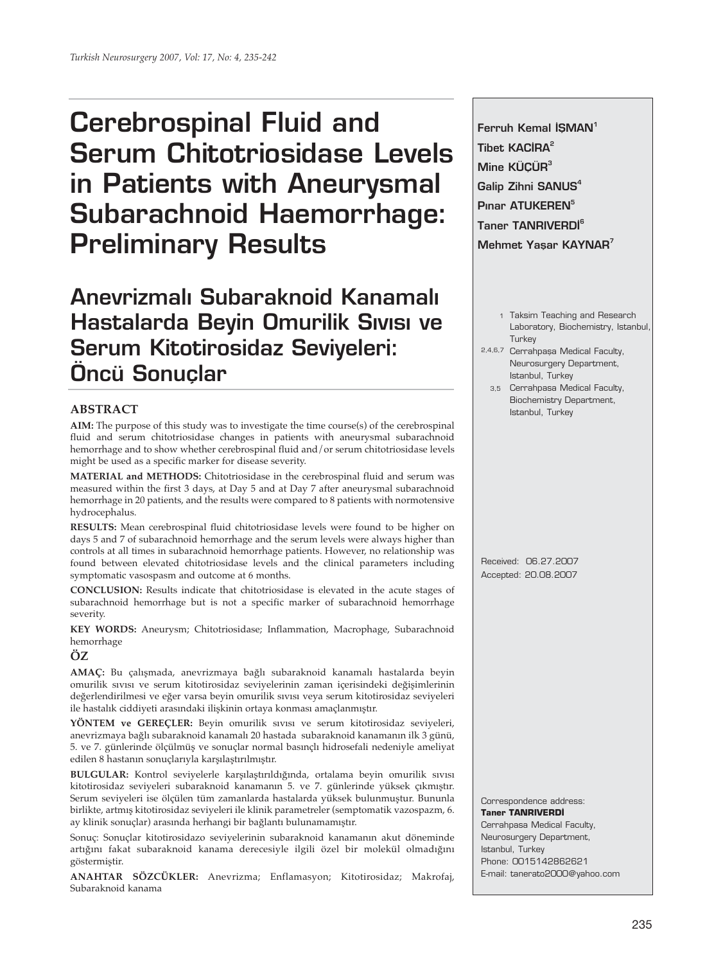# **Cerebrospinal Fluid and Serum Chitotriosidase Levels in Patients with Aneurysmal Subarachnoid Haemorrhage: Preliminary Results**

**Anevrizmal› Subaraknoid Kanamal› Hastalarda Beyin Omurilik Sivisi ve Serum Kitotirosidaz Seviyeleri: Öncü Sonuçlar** 

## **ABSTRACT**

**AIM:** The purpose of this study was to investigate the time course(s) of the cerebrospinal fluid and serum chitotriosidase changes in patients with aneurysmal subarachnoid hemorrhage and to show whether cerebrospinal fluid and/or serum chitotriosidase levels might be used as a specific marker for disease severity.

**MATERIAL and METHODS:** Chitotriosidase in the cerebrospinal fluid and serum was measured within the first 3 days, at Day 5 and at Day 7 after aneurysmal subarachnoid hemorrhage in 20 patients, and the results were compared to 8 patients with normotensive hydrocephalus.

**RESULTS:** Mean cerebrospinal fluid chitotriosidase levels were found to be higher on days 5 and 7 of subarachnoid hemorrhage and the serum levels were always higher than controls at all times in subarachnoid hemorrhage patients. However, no relationship was found between elevated chitotriosidase levels and the clinical parameters including symptomatic vasospasm and outcome at 6 months.

**CONCLUSION:** Results indicate that chitotriosidase is elevated in the acute stages of subarachnoid hemorrhage but is not a specific marker of subarachnoid hemorrhage severity.

**KEY WORDS:** Aneurysm; Chitotriosidase; Inflammation, Macrophage, Subarachnoid hemorrhage

# **ÖZ**

**AMAÇ:** Bu çalışmada, anevrizmaya bağlı subaraknoid kanamalı hastalarda beyin omurilik sıvısı ve serum kitotirosidaz seviyelerinin zaman içerisindeki değişimlerinin değerlendirilmesi ve eğer varsa beyin omurilik sıvısı veya serum kitotirosidaz seviyeleri ile hastalık ciddiyeti arasındaki ilişkinin ortaya konması amaçlanmıştır.

**YÖNTEM ve GEREÇLER:** Beyin omurilik sıvısı ve serum kitotirosidaz seviyeleri, anevrizmaya bağlı subaraknoid kanamalı 20 hastada subaraknoid kanamanın ilk 3 günü, 5. ve 7. günlerinde ölçülmüş ve sonuçlar normal basınçlı hidrosefali nedeniyle ameliyat edilen 8 hastanın sonuçlarıyla karşılaştırılmıştır.

**BULGULAR:** Kontrol seviyelerle karşılaştırıldığında, ortalama beyin omurilik sıvısı kitotirosidaz seviyeleri subaraknoid kanamanın 5. ve 7. günlerinde yüksek çıkmıştır. Serum seviyeleri ise ölçülen tüm zamanlarda hastalarda yüksek bulunmuştur. Bununla birlikte, artmış kitotirosidaz seviyeleri ile klinik parametreler (semptomatik vazospazm, 6. ay klinik sonuçlar) arasında herhangi bir bağlantı bulunamamıştır.

Sonuç: Sonuçlar kitotirosidazo seviyelerinin subaraknoid kanamanın akut döneminde artığını fakat subaraknoid kanama derecesiyle ilgili özel bir molekül olmadığını göstermiştir.

**ANAHTAR SÖZCÜKLER:** Anevrizma; Enflamasyon; Kitotirosidaz; Makrofaj, Subaraknoid kanama

**Ferruh Kemal ISMAN<sup>1</sup> Tibet KACIRA<sup>2</sup> Mine KÜÇÜR<sup>3</sup>** Galip Zihni SANUS<sup>4</sup> Pinar ATUKEREN<sup>5</sup> **Taner TANRIVERDI<sup>6</sup> Mehmet Yasar KAYNAR**<sup>7</sup>

- 1 Taksim Teaching and Research Laboratory, Biochemistry, Istanbul, **Turkey**
- 2,4,6,7 Cerrahpaşa Medical Faculty, Neurosurgery Department, Istanbul, Turkey
	- 3,5 Cerrahpasa Medical Faculty, Biochemistry Department, Istanbul, Turkey

Received: 06.27.2007 Accepted: 20.08.2007

Correspondence address: **Taner TANRIVERDİ** Cerrahpasa Medical Faculty, Neurosurgery Department, Istanbul, Turkey Phone: 0015142862621 E-mail: tanerato2000@yahoo.com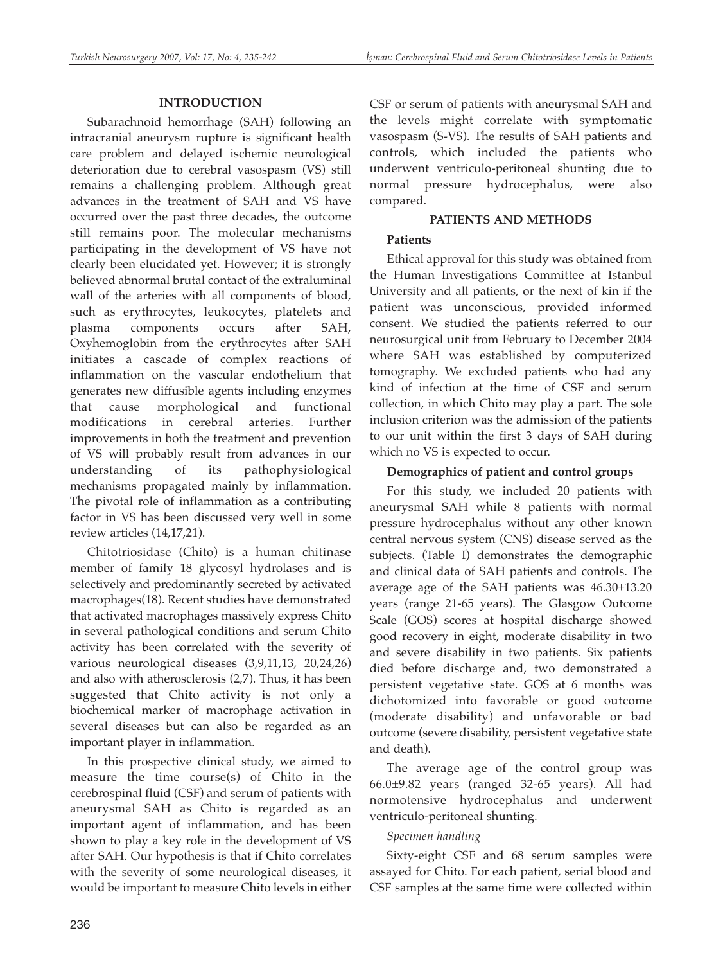# **INTRODUCTION**

Subarachnoid hemorrhage (SAH) following an intracranial aneurysm rupture is significant health care problem and delayed ischemic neurological deterioration due to cerebral vasospasm (VS) still remains a challenging problem. Although great advances in the treatment of SAH and VS have occurred over the past three decades, the outcome still remains poor. The molecular mechanisms participating in the development of VS have not clearly been elucidated yet. However; it is strongly believed abnormal brutal contact of the extraluminal wall of the arteries with all components of blood, such as erythrocytes, leukocytes, platelets and plasma components occurs after SAH, Oxyhemoglobin from the erythrocytes after SAH initiates a cascade of complex reactions of inflammation on the vascular endothelium that generates new diffusible agents including enzymes that cause morphological and functional modifications in cerebral arteries. Further improvements in both the treatment and prevention of VS will probably result from advances in our understanding of its pathophysiological mechanisms propagated mainly by inflammation. The pivotal role of inflammation as a contributing factor in VS has been discussed very well in some review articles (14,17,21).

Chitotriosidase (Chito) is a human chitinase member of family 18 glycosyl hydrolases and is selectively and predominantly secreted by activated macrophages(18). Recent studies have demonstrated that activated macrophages massively express Chito in several pathological conditions and serum Chito activity has been correlated with the severity of various neurological diseases (3,9,11,13, 20,24,26) and also with atherosclerosis (2,7). Thus, it has been suggested that Chito activity is not only a biochemical marker of macrophage activation in several diseases but can also be regarded as an important player in inflammation.

In this prospective clinical study, we aimed to measure the time course(s) of Chito in the cerebrospinal fluid (CSF) and serum of patients with aneurysmal SAH as Chito is regarded as an important agent of inflammation, and has been shown to play a key role in the development of VS after SAH. Our hypothesis is that if Chito correlates with the severity of some neurological diseases, it would be important to measure Chito levels in either CSF or serum of patients with aneurysmal SAH and the levels might correlate with symptomatic vasospasm (S-VS). The results of SAH patients and controls, which included the patients who underwent ventriculo-peritoneal shunting due to normal pressure hydrocephalus, were also compared.

# **PATIENTS AND METHODS**

# **Patients**

Ethical approval for this study was obtained from the Human Investigations Committee at Istanbul University and all patients, or the next of kin if the patient was unconscious, provided informed consent. We studied the patients referred to our neurosurgical unit from February to December 2004 where SAH was established by computerized tomography. We excluded patients who had any kind of infection at the time of CSF and serum collection, in which Chito may play a part. The sole inclusion criterion was the admission of the patients to our unit within the first 3 days of SAH during which no VS is expected to occur.

# **Demographics of patient and control groups**

For this study, we included 20 patients with aneurysmal SAH while 8 patients with normal pressure hydrocephalus without any other known central nervous system (CNS) disease served as the subjects. (Table I) demonstrates the demographic and clinical data of SAH patients and controls. The average age of the SAH patients was 46.30±13.20 years (range 21-65 years). The Glasgow Outcome Scale (GOS) scores at hospital discharge showed good recovery in eight, moderate disability in two and severe disability in two patients. Six patients died before discharge and, two demonstrated a persistent vegetative state. GOS at 6 months was dichotomized into favorable or good outcome (moderate disability) and unfavorable or bad outcome (severe disability, persistent vegetative state and death).

The average age of the control group was 66.0±9.82 years (ranged 32-65 years). All had normotensive hydrocephalus and underwent ventriculo-peritoneal shunting.

# *Specimen handling*

Sixty-eight CSF and 68 serum samples were assayed for Chito. For each patient, serial blood and CSF samples at the same time were collected within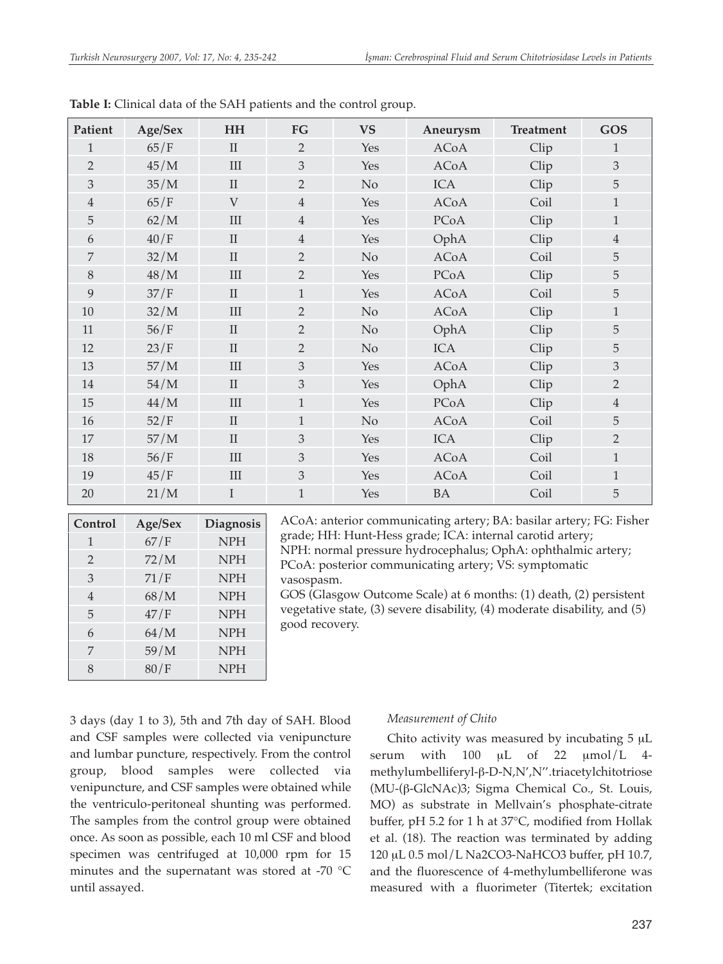| Patient        | Age/Sex | <b>HH</b>    | FG             | <b>VS</b> | Aneurysm    | <b>Treatment</b> | GOS            |
|----------------|---------|--------------|----------------|-----------|-------------|------------------|----------------|
| $\mathbf{1}$   | 65/F    | $\rm II$     | $\overline{2}$ | Yes       | <b>ACoA</b> | Clip             | 1              |
| $\overline{2}$ | 45/M    | $\rm III$    | 3              | Yes       | <b>ACoA</b> | Clip             | 3              |
| 3              | 35/M    | $\rm II$     | $\overline{2}$ | No        | <b>ICA</b>  | Clip             | 5              |
| $\overline{4}$ | 65/F    | V            | $\overline{4}$ | Yes       | <b>ACoA</b> | Coil             | $\mathbf{1}$   |
| 5              | 62/M    | $\rm III$    | $\overline{4}$ | Yes       | PCoA        | Clip             | $\mathbf{1}$   |
| 6              | 40/F    | $\rm II$     | $\overline{4}$ | Yes       | OphA        | Clip             | $\overline{4}$ |
| 7              | 32/M    | $\rm II$     | $\overline{2}$ | No        | <b>ACoA</b> | Coil             | 5              |
| 8              | 48/M    | III          | $\overline{2}$ | Yes       | PCoA        | Clip             | 5              |
| 9              | 37/F    | $\rm II$     | $\mathbf{1}$   | Yes       | <b>ACoA</b> | Coil             | 5              |
| $10\,$         | 32/M    | $\rm III$    | $\overline{2}$ | No        | <b>ACoA</b> | Clip             | $\mathbf{1}$   |
| 11             | 56/F    | $\rm II$     | $\overline{2}$ | No        | OphA        | Clip             | 5              |
| 12             | 23/F    | $\mathbf{I}$ | $\overline{2}$ | No        | <b>ICA</b>  | Clip             | 5              |
| 13             | 57/M    | $\rm III$    | 3              | Yes       | <b>ACoA</b> | Clip             | $\mathfrak{Z}$ |
| $14\,$         | 54/M    | $\rm II$     | 3              | Yes       | OphA        | Clip             | $\overline{2}$ |
| $15\,$         | 44/M    | $\rm III$    | $\mathbf{1}$   | Yes       | PCoA        | Clip             | $\overline{4}$ |
| 16             | 52/F    | $\rm II$     | $\mathbf{1}$   | No        | <b>ACoA</b> | Coil             | 5              |
| 17             | 57/M    | $\rm II$     | 3              | Yes       | <b>ICA</b>  | Clip             | $\overline{2}$ |
| 18             | 56/F    | $\rm III$    | 3              | Yes       | <b>ACoA</b> | Coil             | $\mathbf{1}$   |
| 19             | 45/F    | III          | 3              | Yes       | <b>ACoA</b> | Coil             | $\mathbf{1}$   |
| 20             | 21/M    | $\bf{I}$     | $\mathbf{1}$   | Yes       | <b>BA</b>   | Coil             | 5              |

**Table I:** Clinical data of the SAH patients and the control group.

| Control        | Age/Sex | <b>Diagnosis</b> |
|----------------|---------|------------------|
| 1              | 67/F    | <b>NPH</b>       |
| $\overline{2}$ | 72/M    | <b>NPH</b>       |
| 3              | 71/F    | <b>NPH</b>       |
| $\overline{4}$ | 68/M    | <b>NPH</b>       |
| 5              | 47/F    | <b>NPH</b>       |
| 6              | 64/M    | <b>NPH</b>       |
| 7              | 59/M    | <b>NPH</b>       |
| 8              | 80/F    | <b>NPH</b>       |

ACoA: anterior communicating artery; BA: basilar artery; FG: Fisher grade; HH: Hunt-Hess grade; ICA: internal carotid artery; NPH: normal pressure hydrocephalus; OphA: ophthalmic artery; PCoA: posterior communicating artery; VS: symptomatic vasospasm.

GOS (Glasgow Outcome Scale) at 6 months: (1) death, (2) persistent vegetative state, (3) severe disability, (4) moderate disability, and (5) good recovery.

3 days (day 1 to 3), 5th and 7th day of SAH. Blood and CSF samples were collected via venipuncture and lumbar puncture, respectively. From the control group, blood samples were collected via venipuncture, and CSF samples were obtained while the ventriculo-peritoneal shunting was performed. The samples from the control group were obtained once. As soon as possible, each 10 ml CSF and blood specimen was centrifuged at 10,000 rpm for 15 minutes and the supernatant was stored at -70 °C until assayed.

## *Measurement of Chito*

Chito activity was measured by incubating 5 μL serum with 100  $\mu$ L of 22  $\mu$ mol/L 4methylumbelliferyl-β-D-N,N',N''.triacetylchitotriose (MU-(β-GlcNAc)3; Sigma Chemical Co., St. Louis, MO) as substrate in Mellvain's phosphate-citrate buffer, pH 5.2 for 1 h at 37°C, modified from Hollak et al. (18). The reaction was terminated by adding 120 μL 0.5 mol/L Na2CO3-NaHCO3 buffer, pH 10.7, and the fluorescence of 4-methylumbelliferone was measured with a fluorimeter (Titertek; excitation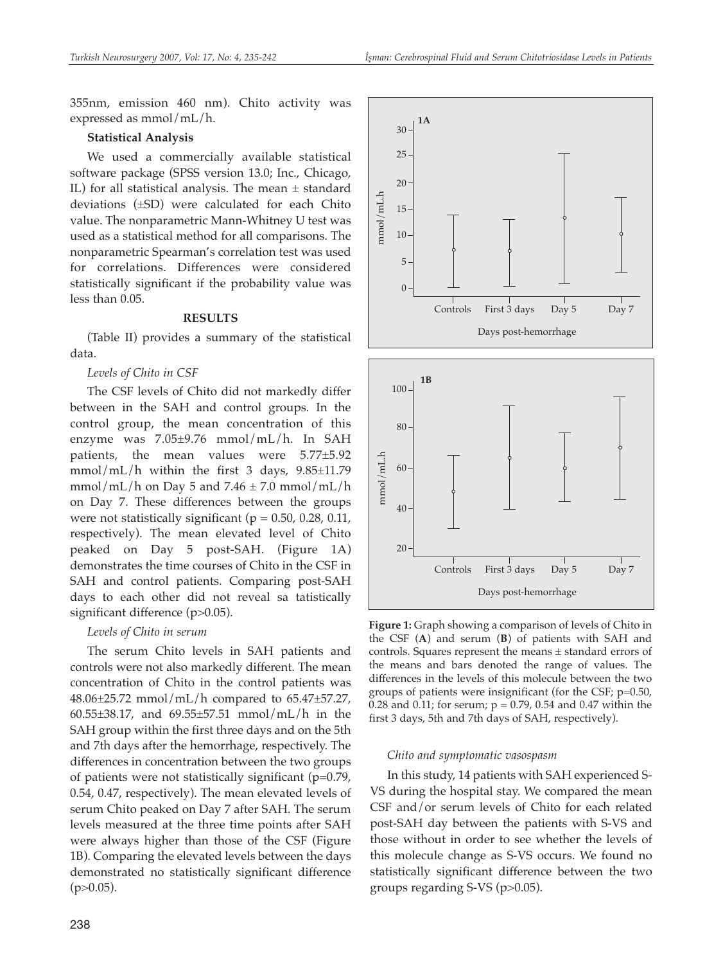355nm, emission 460 nm). Chito activity was expressed as mmol/mL/h.

#### **Statistical Analysis**

We used a commercially available statistical software package (SPSS version 13.0; Inc., Chicago, IL) for all statistical analysis. The mean  $\pm$  standard deviations (±SD) were calculated for each Chito value. The nonparametric Mann-Whitney U test was used as a statistical method for all comparisons. The nonparametric Spearman's correlation test was used for correlations. Differences were considered statistically significant if the probability value was less than 0.05.

#### **RESULTS**

(Table II) provides a summary of the statistical data.

## *Levels of Chito in CSF*

The CSF levels of Chito did not markedly differ between in the SAH and control groups. In the control group, the mean concentration of this enzyme was 7.05±9.76 mmol/mL/h. In SAH patients, the mean values were 5.77±5.92 mmol/mL/h within the first 3 days, 9.85±11.79 mmol/mL/h on Day 5 and  $7.46 \pm 7.0$  mmol/mL/h on Day 7. These differences between the groups were not statistically significant ( $p = 0.50$ , 0.28, 0.11, respectively). The mean elevated level of Chito peaked on Day 5 post-SAH. (Figure 1A) demonstrates the time courses of Chito in the CSF in SAH and control patients. Comparing post-SAH days to each other did not reveal sa tatistically significant difference (p>0.05).

#### *Levels of Chito in serum*

The serum Chito levels in SAH patients and controls were not also markedly different. The mean concentration of Chito in the control patients was 48.06±25.72 mmol/mL/h compared to 65.47±57.27, 60.55±38.17, and 69.55±57.51 mmol/mL/h in the SAH group within the first three days and on the 5th and 7th days after the hemorrhage, respectively. The differences in concentration between the two groups of patients were not statistically significant (p=0.79, 0.54, 0.47, respectively). The mean elevated levels of serum Chito peaked on Day 7 after SAH. The serum levels measured at the three time points after SAH were always higher than those of the CSF (Figure 1B). Comparing the elevated levels between the days demonstrated no statistically significant difference  $(p>0.05)$ .





**Figure 1:** Graph showing a comparison of levels of Chito in the CSF (**A**) and serum (**B**) of patients with SAH and controls. Squares represent the means ± standard errors of the means and bars denoted the range of values. The differences in the levels of this molecule between the two groups of patients were insignificant (for the CSF; p=0.50, 0.28 and 0.11; for serum;  $p = 0.79$ , 0.54 and 0.47 within the first 3 days, 5th and 7th days of SAH, respectively).

#### *Chito and symptomatic vasospasm*

In this study, 14 patients with SAH experienced S-VS during the hospital stay. We compared the mean CSF and/or serum levels of Chito for each related post-SAH day between the patients with S-VS and those without in order to see whether the levels of this molecule change as S-VS occurs. We found no statistically significant difference between the two groups regarding S-VS (p>0.05).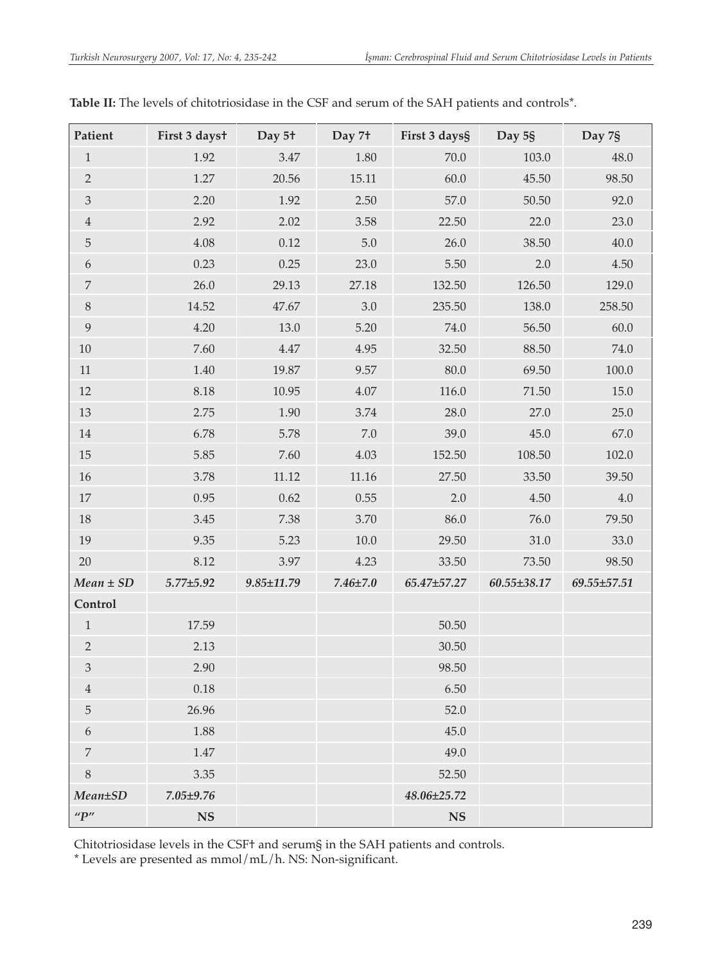| Patient          | First 3 dayst   | Day 5 <sup>+</sup> | Day 7 <sup>+</sup> | First 3 days§ | Day 5§            | Day 7§            |
|------------------|-----------------|--------------------|--------------------|---------------|-------------------|-------------------|
| $\mathbf{1}$     | 1.92            | $3.47\,$           | 1.80               | $70.0\,$      | 103.0             | 48.0              |
| $\overline{2}$   | 1.27            | 20.56              | 15.11              | 60.0          | 45.50             | 98.50             |
| $\mathfrak{Z}$   | 2.20            | 1.92               | 2.50               | 57.0          | 50.50             | 92.0              |
| $\ensuremath{4}$ | 2.92            | 2.02               | 3.58               | 22.50         | 22.0              | 23.0              |
| $\mathbf 5$      | 4.08            | 0.12               | $5.0\,$            | 26.0          | 38.50             | 40.0              |
| $\boldsymbol{6}$ | 0.23            | 0.25               | 23.0               | 5.50          | 2.0               | 4.50              |
| $\boldsymbol{7}$ | 26.0            | 29.13              | 27.18              | 132.50        | 126.50            | 129.0             |
| $\, 8$           | 14.52           | 47.67              | $3.0\,$            | 235.50        | 138.0             | 258.50            |
| $\boldsymbol{9}$ | 4.20            | $13.0\,$           | 5.20               | 74.0          | 56.50             | 60.0              |
| 10               | 7.60            | $4.47\,$           | 4.95               | 32.50         | 88.50             | 74.0              |
| 11               | 1.40            | 19.87              | 9.57               | $80.0\,$      | 69.50             | $100.0\,$         |
| 12               | 8.18            | 10.95              | 4.07               | 116.0         | 71.50             | $15.0\,$          |
| 13               | 2.75            | $1.90\,$           | 3.74               | 28.0          | 27.0              | 25.0              |
| 14               | 6.78            | 5.78               | $7.0\,$            | 39.0          | 45.0              | 67.0              |
| $15\,$           | 5.85            | 7.60               | 4.03               | 152.50        | 108.50            | 102.0             |
| $16\,$           | 3.78            | 11.12              | $11.16\,$          | 27.50         | 33.50             | 39.50             |
| 17               | 0.95            | 0.62               | $0.55\,$           | 2.0           | 4.50              | $4.0\,$           |
| $18\,$           | 3.45            | 7.38               | 3.70               | 86.0          | $76.0\,$          | 79.50             |
| 19               | 9.35            | 5.23               | $10.0$             | 29.50         | $31.0\,$          | 33.0              |
| 20               | 8.12            | 3.97               | 4.23               | 33.50         | 73.50             | 98.50             |
| $Mean \pm SD$    | $5.77 \pm 5.92$ | $9.85 \pm 11.79$   | $7.46 \pm 7.0$     | 65.47±57.27   | $60.55 \pm 38.17$ | $69.55 \pm 57.51$ |
| Control          |                 |                    |                    |               |                   |                   |
| $\mathbf{1}$     | 17.59           |                    |                    | $50.50\,$     |                   |                   |
| $\sqrt{2}$       | 2.13            |                    |                    | 30.50         |                   |                   |
| $\mathfrak{Z}$   | 2.90            |                    |                    | 98.50         |                   |                   |
| $\overline{4}$   | 0.18            |                    |                    | 6.50          |                   |                   |
| $\mathbf 5$      | 26.96           |                    |                    | 52.0          |                   |                   |
| $\boldsymbol{6}$ | 1.88            |                    |                    | 45.0          |                   |                   |
| $\boldsymbol{7}$ | $1.47\,$        |                    |                    | 49.0          |                   |                   |
| $8\,$            | 3.35            |                    |                    | 52.50         |                   |                   |
| $Mean \pm SD$    | 7.05±9.76       |                    |                    | 48.06±25.72   |                   |                   |
| ''P''            | <b>NS</b>       |                    |                    | <b>NS</b>     |                   |                   |

**Table II:** The levels of chitotriosidase in the CSF and serum of the SAH patients and controls\*.

Chitotriosidase levels in the CSF† and serum§ in the SAH patients and controls.

\* Levels are presented as mmol/mL/h. NS: Non-significant.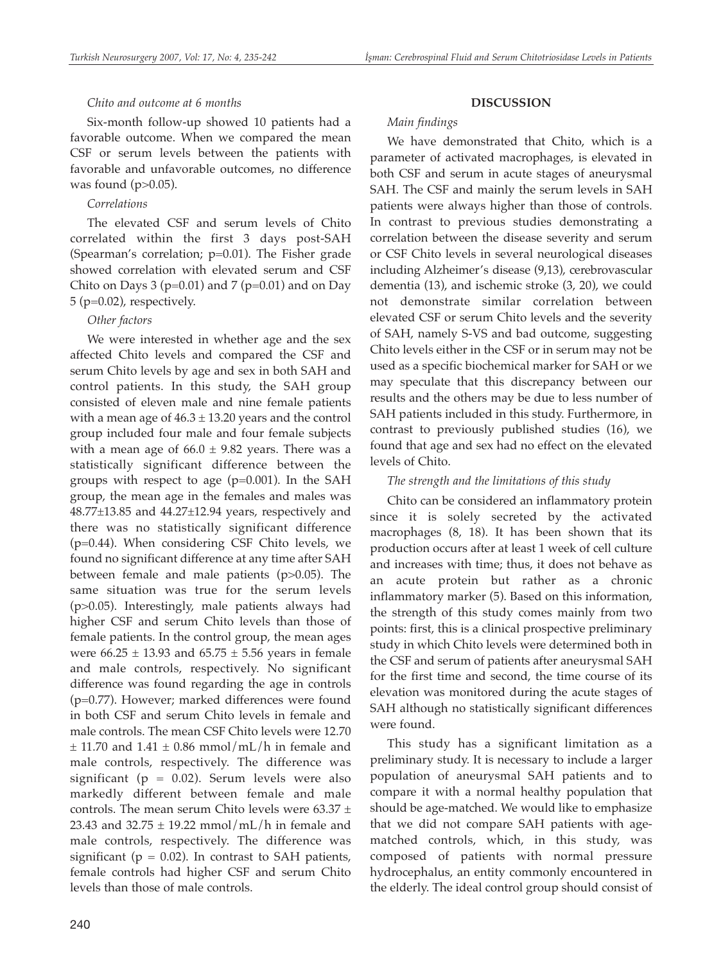# *Chito and outcome at 6 months*

Six-month follow-up showed 10 patients had a favorable outcome. When we compared the mean CSF or serum levels between the patients with favorable and unfavorable outcomes, no difference was found (p>0.05).

# *Correlations*

The elevated CSF and serum levels of Chito correlated within the first 3 days post-SAH (Spearman's correlation; p=0.01). The Fisher grade showed correlation with elevated serum and CSF Chito on Days 3 ( $p=0.01$ ) and 7 ( $p=0.01$ ) and on Day 5 (p=0.02), respectively.

## *Other factors*

We were interested in whether age and the sex affected Chito levels and compared the CSF and serum Chito levels by age and sex in both SAH and control patients. In this study, the SAH group consisted of eleven male and nine female patients with a mean age of  $46.3 \pm 13.20$  years and the control group included four male and four female subjects with a mean age of  $66.0 \pm 9.82$  years. There was a statistically significant difference between the groups with respect to age  $(p=0.001)$ . In the SAH group, the mean age in the females and males was 48.77±13.85 and 44.27±12.94 years, respectively and there was no statistically significant difference (p=0.44). When considering CSF Chito levels, we found no significant difference at any time after SAH between female and male patients (p>0.05). The same situation was true for the serum levels (p>0.05). Interestingly, male patients always had higher CSF and serum Chito levels than those of female patients. In the control group, the mean ages were  $66.25 \pm 13.93$  and  $65.75 \pm 5.56$  years in female and male controls, respectively. No significant difference was found regarding the age in controls (p=0.77). However; marked differences were found in both CSF and serum Chito levels in female and male controls. The mean CSF Chito levels were 12.70  $\pm$  11.70 and 1.41  $\pm$  0.86 mmol/mL/h in female and male controls, respectively. The difference was significant ( $p = 0.02$ ). Serum levels were also markedly different between female and male controls. The mean serum Chito levels were  $63.37 \pm$ 23.43 and  $32.75 \pm 19.22$  mmol/mL/h in female and male controls, respectively. The difference was significant ( $p = 0.02$ ). In contrast to SAH patients, female controls had higher CSF and serum Chito levels than those of male controls.

# **DISCUSSION**

# *Main findings*

We have demonstrated that Chito, which is a parameter of activated macrophages, is elevated in both CSF and serum in acute stages of aneurysmal SAH. The CSF and mainly the serum levels in SAH patients were always higher than those of controls. In contrast to previous studies demonstrating a correlation between the disease severity and serum or CSF Chito levels in several neurological diseases including Alzheimer's disease (9,13), cerebrovascular dementia (13), and ischemic stroke (3, 20), we could not demonstrate similar correlation between elevated CSF or serum Chito levels and the severity of SAH, namely S-VS and bad outcome, suggesting Chito levels either in the CSF or in serum may not be used as a specific biochemical marker for SAH or we may speculate that this discrepancy between our results and the others may be due to less number of SAH patients included in this study. Furthermore, in contrast to previously published studies (16), we found that age and sex had no effect on the elevated levels of Chito.

# *The strength and the limitations of this study*

Chito can be considered an inflammatory protein since it is solely secreted by the activated macrophages (8, 18). It has been shown that its production occurs after at least 1 week of cell culture and increases with time; thus, it does not behave as an acute protein but rather as a chronic inflammatory marker (5). Based on this information, the strength of this study comes mainly from two points: first, this is a clinical prospective preliminary study in which Chito levels were determined both in the CSF and serum of patients after aneurysmal SAH for the first time and second, the time course of its elevation was monitored during the acute stages of SAH although no statistically significant differences were found.

This study has a significant limitation as a preliminary study. It is necessary to include a larger population of aneurysmal SAH patients and to compare it with a normal healthy population that should be age-matched. We would like to emphasize that we did not compare SAH patients with agematched controls, which, in this study, was composed of patients with normal pressure hydrocephalus, an entity commonly encountered in the elderly. The ideal control group should consist of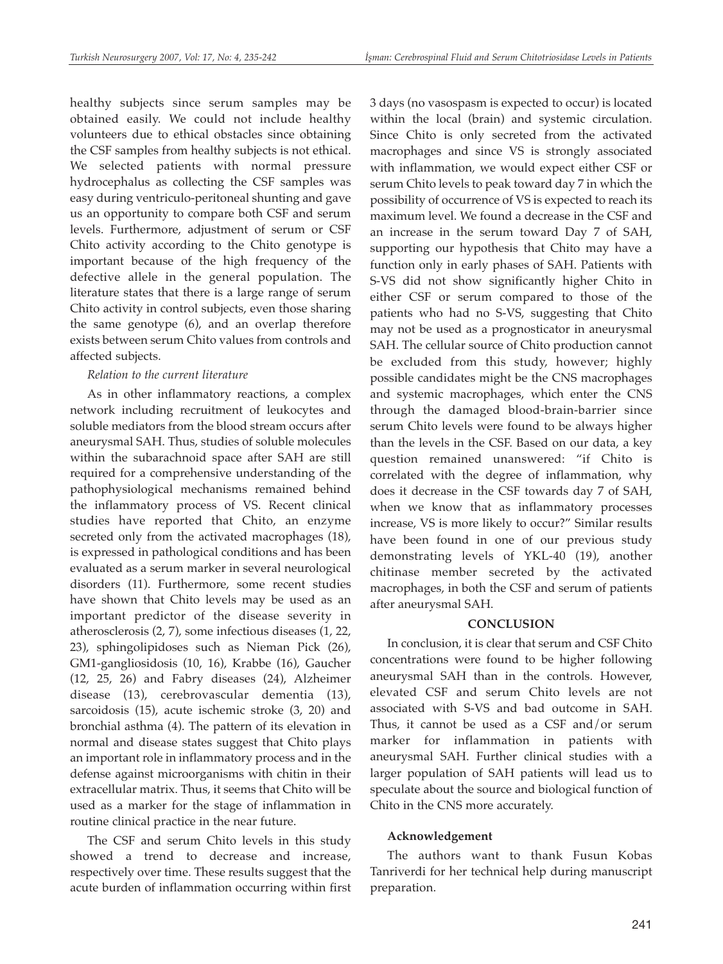healthy subjects since serum samples may be obtained easily. We could not include healthy volunteers due to ethical obstacles since obtaining the CSF samples from healthy subjects is not ethical. We selected patients with normal pressure hydrocephalus as collecting the CSF samples was easy during ventriculo-peritoneal shunting and gave us an opportunity to compare both CSF and serum levels. Furthermore, adjustment of serum or CSF Chito activity according to the Chito genotype is important because of the high frequency of the defective allele in the general population. The literature states that there is a large range of serum Chito activity in control subjects, even those sharing the same genotype (6), and an overlap therefore exists between serum Chito values from controls and affected subjects.

# *Relation to the current literature*

As in other inflammatory reactions, a complex network including recruitment of leukocytes and soluble mediators from the blood stream occurs after aneurysmal SAH. Thus, studies of soluble molecules within the subarachnoid space after SAH are still required for a comprehensive understanding of the pathophysiological mechanisms remained behind the inflammatory process of VS. Recent clinical studies have reported that Chito, an enzyme secreted only from the activated macrophages (18), is expressed in pathological conditions and has been evaluated as a serum marker in several neurological disorders (11). Furthermore, some recent studies have shown that Chito levels may be used as an important predictor of the disease severity in atherosclerosis (2, 7), some infectious diseases (1, 22, 23), sphingolipidoses such as Nieman Pick (26), GM1-gangliosidosis (10, 16), Krabbe (16), Gaucher (12, 25, 26) and Fabry diseases (24), Alzheimer disease (13), cerebrovascular dementia (13), sarcoidosis (15), acute ischemic stroke (3, 20) and bronchial asthma (4). The pattern of its elevation in normal and disease states suggest that Chito plays an important role in inflammatory process and in the defense against microorganisms with chitin in their extracellular matrix. Thus, it seems that Chito will be used as a marker for the stage of inflammation in routine clinical practice in the near future.

The CSF and serum Chito levels in this study showed a trend to decrease and increase, respectively over time. These results suggest that the acute burden of inflammation occurring within first 3 days (no vasospasm is expected to occur) is located within the local (brain) and systemic circulation. Since Chito is only secreted from the activated macrophages and since VS is strongly associated with inflammation, we would expect either CSF or serum Chito levels to peak toward day 7 in which the possibility of occurrence of VS is expected to reach its maximum level. We found a decrease in the CSF and an increase in the serum toward Day 7 of SAH, supporting our hypothesis that Chito may have a function only in early phases of SAH. Patients with S-VS did not show significantly higher Chito in either CSF or serum compared to those of the patients who had no S-VS, suggesting that Chito may not be used as a prognosticator in aneurysmal SAH. The cellular source of Chito production cannot be excluded from this study, however; highly possible candidates might be the CNS macrophages and systemic macrophages, which enter the CNS through the damaged blood-brain-barrier since serum Chito levels were found to be always higher than the levels in the CSF. Based on our data, a key question remained unanswered: "if Chito is correlated with the degree of inflammation, why does it decrease in the CSF towards day 7 of SAH, when we know that as inflammatory processes increase, VS is more likely to occur?" Similar results have been found in one of our previous study demonstrating levels of YKL-40 (19), another chitinase member secreted by the activated macrophages, in both the CSF and serum of patients after aneurysmal SAH.

# **CONCLUSION**

In conclusion, it is clear that serum and CSF Chito concentrations were found to be higher following aneurysmal SAH than in the controls. However, elevated CSF and serum Chito levels are not associated with S-VS and bad outcome in SAH. Thus, it cannot be used as a CSF and/or serum marker for inflammation in patients with aneurysmal SAH. Further clinical studies with a larger population of SAH patients will lead us to speculate about the source and biological function of Chito in the CNS more accurately.

# **Acknowledgement**

The authors want to thank Fusun Kobas Tanriverdi for her technical help during manuscript preparation.